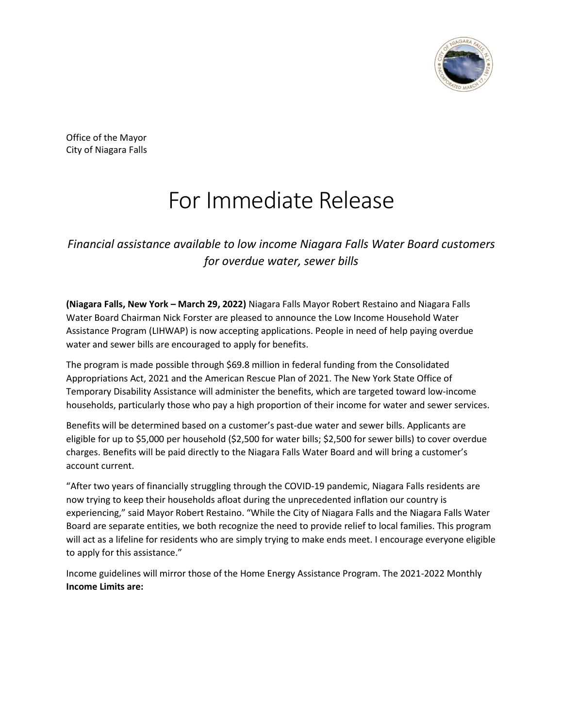

Office of the Mayor City of Niagara Falls

# For Immediate Release

*Financial assistance available to low income Niagara Falls Water Board customers for overdue water, sewer bills*

**(Niagara Falls, New York – March 29, 2022)** Niagara Falls Mayor Robert Restaino and Niagara Falls Water Board Chairman Nick Forster are pleased to announce the Low Income Household Water Assistance Program (LIHWAP) is now accepting applications. People in need of help paying overdue water and sewer bills are encouraged to apply for benefits.

The program is made possible through \$69.8 million in federal funding from the Consolidated Appropriations Act, 2021 and the American Rescue Plan of 2021. The New York State Office of Temporary Disability Assistance will administer the benefits, which are targeted toward low-income households, particularly those who pay a high proportion of their income for water and sewer services.

Benefits will be determined based on a customer's past-due water and sewer bills. Applicants are eligible for up to \$5,000 per household (\$2,500 for water bills; \$2,500 for sewer bills) to cover overdue charges. Benefits will be paid directly to the Niagara Falls Water Board and will bring a customer's account current.

"After two years of financially struggling through the COVID-19 pandemic, Niagara Falls residents are now trying to keep their households afloat during the unprecedented inflation our country is experiencing," said Mayor Robert Restaino. "While the City of Niagara Falls and the Niagara Falls Water Board are separate entities, we both recognize the need to provide relief to local families. This program will act as a lifeline for residents who are simply trying to make ends meet. I encourage everyone eligible to apply for this assistance."

Income guidelines will mirror those of the Home Energy Assistance Program. The 2021-2022 Monthly **Income Limits are:**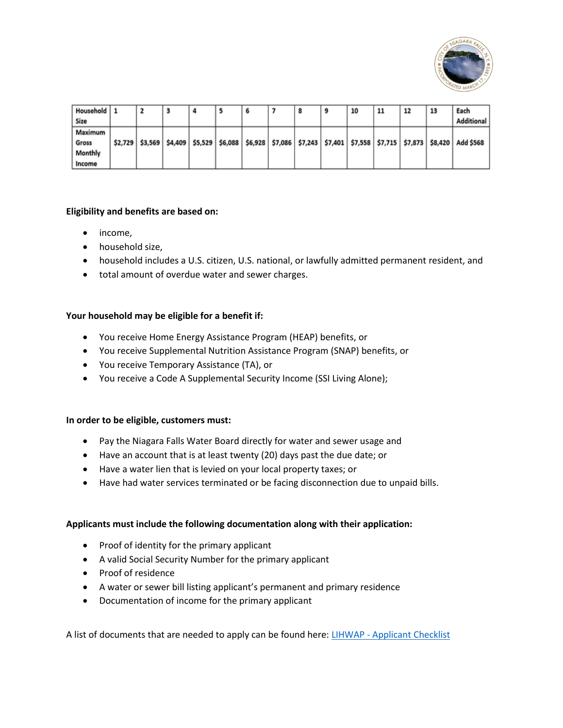

| Household 1<br>Size                   |  |  |  |  | 10 | 11 | 12 | 13 | Each<br>Additional                                                                                                                          |
|---------------------------------------|--|--|--|--|----|----|----|----|---------------------------------------------------------------------------------------------------------------------------------------------|
| Maximum<br>Gross<br>Monthly<br>Income |  |  |  |  |    |    |    |    | \$2,729   \$3,569   \$4,409   \$5,529   \$6,088   \$6,928   \$7,086   \$7,243   \$7,401   \$7,558   \$7,715   \$7,873   \$8,420   Add \$568 |

### **Eligibility and benefits are based on:**

- income,
- household size,
- household includes a U.S. citizen, U.S. national, or lawfully admitted permanent resident, and
- total amount of overdue water and sewer charges.

## **Your household may be eligible for a benefit if:**

- You receive Home Energy Assistance Program (HEAP) benefits, or
- You receive Supplemental Nutrition Assistance Program (SNAP) benefits, or
- You receive Temporary Assistance (TA), or
- You receive a Code A Supplemental Security Income (SSI Living Alone);

### **In order to be eligible, customers must:**

- Pay the Niagara Falls Water Board directly for water and sewer usage and
- Have an account that is at least twenty (20) days past the due date; or
- Have a water lien that is levied on your local property taxes; or
- Have had water services terminated or be facing disconnection due to unpaid bills.

### **Applicants must include the following documentation along with their application:**

- Proof of identity for the primary applicant
- A valid Social Security Number for the primary applicant
- Proof of residence
- A water or sewer bill listing applicant's permanent and primary residence
- Documentation of income for the primary applicant

A list of documents that are needed to apply can be found here: LIHWAP - [Applicant Checklist](https://otda.ny.gov/programs/water-assistance/Applicant-Checklist.pdf)